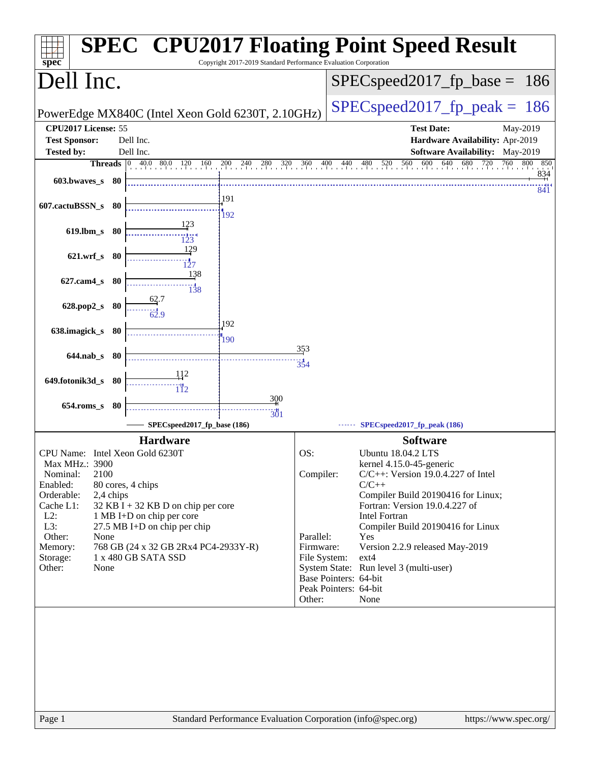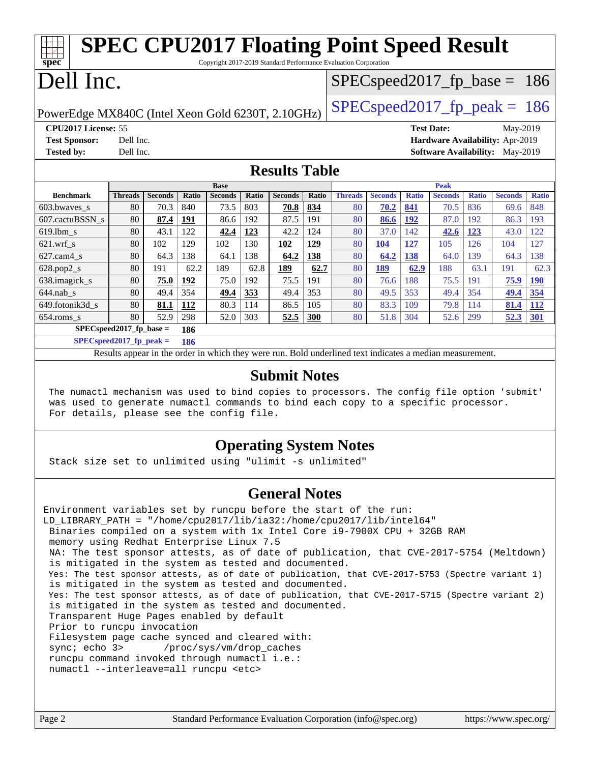| <b>SPEC CPU2017 Floating Point Speed Result</b>                         |                                                   |                |            |                |       |                      |       |                |                |              |                   |              |                                        |              |
|-------------------------------------------------------------------------|---------------------------------------------------|----------------|------------|----------------|-------|----------------------|-------|----------------|----------------|--------------|-------------------|--------------|----------------------------------------|--------------|
| spec<br>Copyright 2017-2019 Standard Performance Evaluation Corporation |                                                   |                |            |                |       |                      |       |                |                |              |                   |              |                                        |              |
| Dell Inc.<br>$SPEC speed2017_f p\_base = 186$                           |                                                   |                |            |                |       |                      |       |                |                |              |                   |              |                                        |              |
|                                                                         |                                                   |                |            |                |       |                      |       |                |                |              |                   |              |                                        |              |
|                                                                         | $SPEC speed2017_fp\_peak = 186$                   |                |            |                |       |                      |       |                |                |              |                   |              |                                        |              |
|                                                                         | PowerEdge MX840C (Intel Xeon Gold 6230T, 2.10GHz) |                |            |                |       |                      |       |                |                |              |                   |              |                                        |              |
| CPU2017 License: 55                                                     |                                                   |                |            |                |       |                      |       |                |                |              | <b>Test Date:</b> |              | May-2019                               |              |
| <b>Test Sponsor:</b>                                                    | Dell Inc.                                         |                |            |                |       |                      |       |                |                |              |                   |              | Hardware Availability: Apr-2019        |              |
| <b>Tested by:</b>                                                       | Dell Inc.                                         |                |            |                |       |                      |       |                |                |              |                   |              | <b>Software Availability:</b> May-2019 |              |
|                                                                         |                                                   |                |            |                |       | <b>Results Table</b> |       |                |                |              |                   |              |                                        |              |
|                                                                         |                                                   |                |            | <b>Base</b>    |       |                      |       |                |                |              | <b>Peak</b>       |              |                                        |              |
| <b>Benchmark</b>                                                        | <b>Threads</b>                                    | <b>Seconds</b> | Ratio      | <b>Seconds</b> | Ratio | <b>Seconds</b>       | Ratio | <b>Threads</b> | <b>Seconds</b> | <b>Ratio</b> | <b>Seconds</b>    | <b>Ratio</b> | <b>Seconds</b>                         | <b>Ratio</b> |
| 603.bwayes s                                                            | 80                                                | 70.3           | 840        | 73.5           | 803   | 70.8                 |       |                |                | 841          |                   |              |                                        |              |
| 607.cactuBSSN s                                                         |                                                   |                |            |                |       |                      | 834   | 80             | 70.2           |              | 70.5              | 836          | 69.6                                   | 848          |
|                                                                         | 80                                                | 87.4           | <u>191</u> | 86.6           | 192   | 87.5                 | 191   | 80             | 86.6           | <u>192</u>   | 87.0              | 192          | 86.3                                   | 193          |
| $619.$ lbm s                                                            | 80                                                | 43.1           | 122        | 42.4           | 123   | 42.2                 | 124   | 80             | 37.0           | 142          | 42.6              | <u>123</u>   | 43.0                                   | 122          |
| $621$ .wrf s                                                            | 80                                                | 102            | 129        | 102            | 130   | 102                  | 129   | 80             | 104            | 127          | 105               | 126          | 104                                    | 127          |
| $627.cam4_s$                                                            | 80                                                | 64.3           | 138        | 64.1           | 138   | 64.2                 | 138   | 80             | 64.2           | 138          | 64.0              | 139          | 64.3                                   | 138          |
| 628.pop2_s                                                              | 80                                                | 191            | 62.2       | 189            | 62.8  | 189                  | 62.7  | 80             | 189            | 62.9         | 188               | 63.1         | 191                                    | 62.3         |
| 638.imagick_s                                                           | 80                                                | 75.0           | 192        | 75.0           | 192   | 75.5                 | 191   | 80             | 76.6           | 188          | 75.5              | 191          | <b>75.9</b>                            | <u>190</u>   |
| $644$ .nab_s                                                            | 80                                                | 49.4           | 354        | 49.4           | 353   | 49.4                 | 353   | 80             | 49.5           | 353          | 49.4              | 354          | 49.4                                   | 354          |
| 649.fotonik3d_s                                                         | 80                                                | 81.1           | 112        | 80.3           | 114   | 86.5                 | 105   | 80             | 83.3           | 109          | 79.8              | 114          | 81.4                                   | <u>112</u>   |

**[SPECspeed2017\\_fp\\_base =](http://www.spec.org/auto/cpu2017/Docs/result-fields.html#SPECspeed2017fpbase) 186 [SPECspeed2017\\_fp\\_peak =](http://www.spec.org/auto/cpu2017/Docs/result-fields.html#SPECspeed2017fppeak) 186**

Results appear in the [order in which they were run.](http://www.spec.org/auto/cpu2017/Docs/result-fields.html#RunOrder) Bold underlined text [indicates a median measurement](http://www.spec.org/auto/cpu2017/Docs/result-fields.html#Median).

#### **[Submit Notes](http://www.spec.org/auto/cpu2017/Docs/result-fields.html#SubmitNotes)**

 The numactl mechanism was used to bind copies to processors. The config file option 'submit' was used to generate numactl commands to bind each copy to a specific processor. For details, please see the config file.

### **[Operating System Notes](http://www.spec.org/auto/cpu2017/Docs/result-fields.html#OperatingSystemNotes)**

Stack size set to unlimited using "ulimit -s unlimited"

#### **[General Notes](http://www.spec.org/auto/cpu2017/Docs/result-fields.html#GeneralNotes)**

Environment variables set by runcpu before the start of the run: LD LIBRARY PATH = "/home/cpu2017/lib/ia32:/home/cpu2017/lib/intel64" Binaries compiled on a system with 1x Intel Core i9-7900X CPU + 32GB RAM memory using Redhat Enterprise Linux 7.5 NA: The test sponsor attests, as of date of publication, that CVE-2017-5754 (Meltdown) is mitigated in the system as tested and documented. Yes: The test sponsor attests, as of date of publication, that CVE-2017-5753 (Spectre variant 1) is mitigated in the system as tested and documented. Yes: The test sponsor attests, as of date of publication, that CVE-2017-5715 (Spectre variant 2) is mitigated in the system as tested and documented. Transparent Huge Pages enabled by default Prior to runcpu invocation Filesystem page cache synced and cleared with: sync; echo 3> /proc/sys/vm/drop\_caches runcpu command invoked through numactl i.e.: numactl --interleave=all runcpu <etc>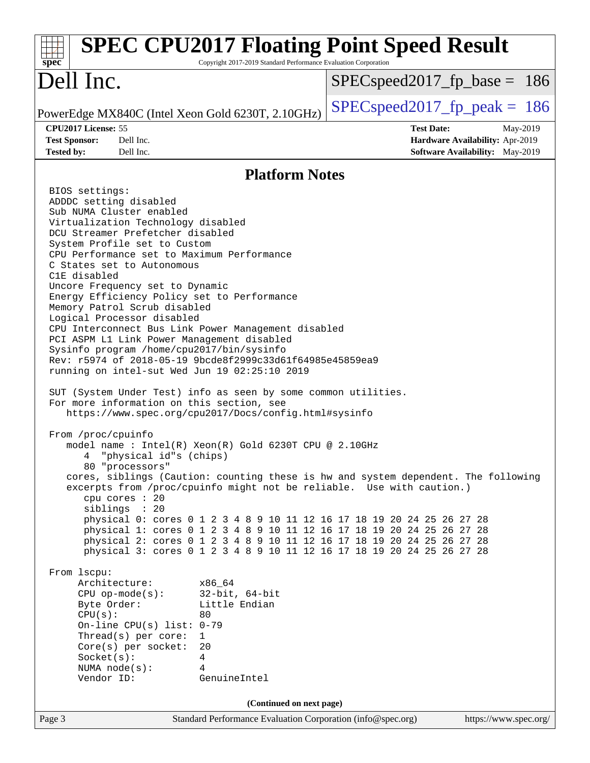| <b>SPEC CPU2017 Floating Point Speed Result</b><br>Copyright 2017-2019 Standard Performance Evaluation Corporation<br>spec <sup>®</sup>                                                                                                                                                                                                                                                                                                                                                                                                                                                                                                                                                                                                                                                                                                                                                                                                                                                                                                                                                                                                                                                                                                                                                                                                                                                                                                                                                                                                                                                                                                                                                                                                                                                                             |                                                                                                     |
|---------------------------------------------------------------------------------------------------------------------------------------------------------------------------------------------------------------------------------------------------------------------------------------------------------------------------------------------------------------------------------------------------------------------------------------------------------------------------------------------------------------------------------------------------------------------------------------------------------------------------------------------------------------------------------------------------------------------------------------------------------------------------------------------------------------------------------------------------------------------------------------------------------------------------------------------------------------------------------------------------------------------------------------------------------------------------------------------------------------------------------------------------------------------------------------------------------------------------------------------------------------------------------------------------------------------------------------------------------------------------------------------------------------------------------------------------------------------------------------------------------------------------------------------------------------------------------------------------------------------------------------------------------------------------------------------------------------------------------------------------------------------------------------------------------------------|-----------------------------------------------------------------------------------------------------|
| Dell Inc.                                                                                                                                                                                                                                                                                                                                                                                                                                                                                                                                                                                                                                                                                                                                                                                                                                                                                                                                                                                                                                                                                                                                                                                                                                                                                                                                                                                                                                                                                                                                                                                                                                                                                                                                                                                                           | $SPEC speed2017_fp\_base = 186$                                                                     |
| PowerEdge MX840C (Intel Xeon Gold 6230T, 2.10GHz)                                                                                                                                                                                                                                                                                                                                                                                                                                                                                                                                                                                                                                                                                                                                                                                                                                                                                                                                                                                                                                                                                                                                                                                                                                                                                                                                                                                                                                                                                                                                                                                                                                                                                                                                                                   | $SPEC speed2017_fp\_peak = 186$                                                                     |
| CPU2017 License: 55<br>Dell Inc.<br><b>Test Sponsor:</b><br>Dell Inc.<br><b>Tested by:</b>                                                                                                                                                                                                                                                                                                                                                                                                                                                                                                                                                                                                                                                                                                                                                                                                                                                                                                                                                                                                                                                                                                                                                                                                                                                                                                                                                                                                                                                                                                                                                                                                                                                                                                                          | <b>Test Date:</b><br>May-2019<br>Hardware Availability: Apr-2019<br>Software Availability: May-2019 |
| <b>Platform Notes</b>                                                                                                                                                                                                                                                                                                                                                                                                                                                                                                                                                                                                                                                                                                                                                                                                                                                                                                                                                                                                                                                                                                                                                                                                                                                                                                                                                                                                                                                                                                                                                                                                                                                                                                                                                                                               |                                                                                                     |
| BIOS settings:<br>ADDDC setting disabled<br>Sub NUMA Cluster enabled<br>Virtualization Technology disabled<br>DCU Streamer Prefetcher disabled<br>System Profile set to Custom<br>CPU Performance set to Maximum Performance<br>C States set to Autonomous<br>C1E disabled<br>Uncore Frequency set to Dynamic<br>Energy Efficiency Policy set to Performance<br>Memory Patrol Scrub disabled<br>Logical Processor disabled<br>CPU Interconnect Bus Link Power Management disabled<br>PCI ASPM L1 Link Power Management disabled<br>Sysinfo program /home/cpu2017/bin/sysinfo<br>Rev: r5974 of 2018-05-19 9bcde8f2999c33d61f64985e45859ea9<br>running on intel-sut Wed Jun 19 02:25:10 2019<br>SUT (System Under Test) info as seen by some common utilities.<br>For more information on this section, see<br>https://www.spec.org/cpu2017/Docs/config.html#sysinfo<br>From /proc/cpuinfo<br>model name: $Intel(R)$ Xeon(R) Gold 6230T CPU @ 2.10GHz<br>"physical id"s (chips)<br>80 "processors"<br>cores, siblings (Caution: counting these is hw and system dependent. The following<br>excerpts from /proc/cpuinfo might not be reliable. Use with caution.)<br>cpu cores : 20<br>siblings : 20<br>physical 0: cores 0 1 2 3 4 8 9 10 11 12 16 17 18 19 20 24 25 26 27 28<br>physical 1: cores 0 1 2 3 4 8 9 10 11 12 16 17 18 19 20 24 25 26 27 28<br>physical 2: cores 0 1 2 3 4 8 9 10 11 12 16 17 18 19 20 24 25 26 27 28<br>physical 3: cores 0 1 2 3 4 8 9 10 11 12 16 17 18 19 20 24 25 26 27 28<br>From lscpu:<br>Architecture:<br>x86 64<br>$32$ -bit, $64$ -bit<br>$CPU$ op-mode(s):<br>Little Endian<br>Byte Order:<br>CPU(s):<br>80<br>On-line CPU(s) list: $0-79$<br>Thread(s) per core:<br>1<br>Core(s) per socket:<br>20<br>Socket(s):<br>4<br>4<br>NUMA $node(s):$<br>Vendor ID:<br>GenuineIntel |                                                                                                     |
| (Continued on next page)                                                                                                                                                                                                                                                                                                                                                                                                                                                                                                                                                                                                                                                                                                                                                                                                                                                                                                                                                                                                                                                                                                                                                                                                                                                                                                                                                                                                                                                                                                                                                                                                                                                                                                                                                                                            |                                                                                                     |
| Page 3<br>Standard Performance Evaluation Corporation (info@spec.org)                                                                                                                                                                                                                                                                                                                                                                                                                                                                                                                                                                                                                                                                                                                                                                                                                                                                                                                                                                                                                                                                                                                                                                                                                                                                                                                                                                                                                                                                                                                                                                                                                                                                                                                                               | https://www.spec.org/                                                                               |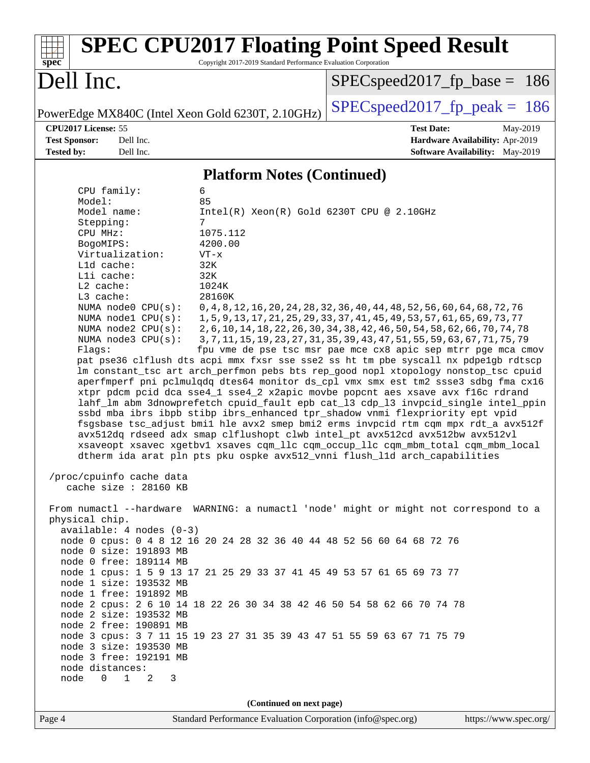| spec <sup>®</sup>                                                                                                                                                                                                                                                                                                                                                                                                                                                               | Copyright 2017-2019 Standard Performance Evaluation Corporation                                                            | <b>SPEC CPU2017 Floating Point Speed Result</b>                                                                                                                                                                                                                                                                                                                                                                                                                                                                                                                                                                                                                                                                                                                                                                                                                                                                                                                                                                                                                                                                                                                                                                                                               |  |  |  |  |
|---------------------------------------------------------------------------------------------------------------------------------------------------------------------------------------------------------------------------------------------------------------------------------------------------------------------------------------------------------------------------------------------------------------------------------------------------------------------------------|----------------------------------------------------------------------------------------------------------------------------|---------------------------------------------------------------------------------------------------------------------------------------------------------------------------------------------------------------------------------------------------------------------------------------------------------------------------------------------------------------------------------------------------------------------------------------------------------------------------------------------------------------------------------------------------------------------------------------------------------------------------------------------------------------------------------------------------------------------------------------------------------------------------------------------------------------------------------------------------------------------------------------------------------------------------------------------------------------------------------------------------------------------------------------------------------------------------------------------------------------------------------------------------------------------------------------------------------------------------------------------------------------|--|--|--|--|
| Dell Inc.                                                                                                                                                                                                                                                                                                                                                                                                                                                                       |                                                                                                                            | $SPEC speed2017_f p\_base = 186$                                                                                                                                                                                                                                                                                                                                                                                                                                                                                                                                                                                                                                                                                                                                                                                                                                                                                                                                                                                                                                                                                                                                                                                                                              |  |  |  |  |
| PowerEdge MX840C (Intel Xeon Gold 6230T, 2.10GHz)                                                                                                                                                                                                                                                                                                                                                                                                                               |                                                                                                                            | $SPEC speed2017_fp\_peak = 186$                                                                                                                                                                                                                                                                                                                                                                                                                                                                                                                                                                                                                                                                                                                                                                                                                                                                                                                                                                                                                                                                                                                                                                                                                               |  |  |  |  |
| CPU2017 License: 55<br><b>Test Sponsor:</b><br>Dell Inc.<br><b>Tested by:</b><br>Dell Inc.                                                                                                                                                                                                                                                                                                                                                                                      |                                                                                                                            | <b>Test Date:</b><br>May-2019<br>Hardware Availability: Apr-2019<br><b>Software Availability:</b> May-2019                                                                                                                                                                                                                                                                                                                                                                                                                                                                                                                                                                                                                                                                                                                                                                                                                                                                                                                                                                                                                                                                                                                                                    |  |  |  |  |
| <b>Platform Notes (Continued)</b>                                                                                                                                                                                                                                                                                                                                                                                                                                               |                                                                                                                            |                                                                                                                                                                                                                                                                                                                                                                                                                                                                                                                                                                                                                                                                                                                                                                                                                                                                                                                                                                                                                                                                                                                                                                                                                                                               |  |  |  |  |
| CPU family:                                                                                                                                                                                                                                                                                                                                                                                                                                                                     | 6                                                                                                                          |                                                                                                                                                                                                                                                                                                                                                                                                                                                                                                                                                                                                                                                                                                                                                                                                                                                                                                                                                                                                                                                                                                                                                                                                                                                               |  |  |  |  |
| Model:<br>Model name:<br>Stepping:<br>CPU MHz:<br>BogoMIPS:<br>Virtualization:<br>L1d cache:<br>Lli cache:<br>L2 cache:<br>L3 cache:<br>NUMA node0 CPU(s):<br>NUMA nodel CPU(s):<br>NUMA $node2$ $CPU(s)$ :<br>NUMA $node3$ $CPU(s)$ :<br>Flaqs:                                                                                                                                                                                                                                | 85<br>$Intel(R) Xeon(R) Gold 6230T CPU @ 2.10GHz$<br>7<br>1075.112<br>4200.00<br>$VT - x$<br>32K<br>32K<br>1024K<br>28160K | 0, 4, 8, 12, 16, 20, 24, 28, 32, 36, 40, 44, 48, 52, 56, 60, 64, 68, 72, 76<br>1, 5, 9, 13, 17, 21, 25, 29, 33, 37, 41, 45, 49, 53, 57, 61, 65, 69, 73, 77<br>2, 6, 10, 14, 18, 22, 26, 30, 34, 38, 42, 46, 50, 54, 58, 62, 66, 70, 74, 78<br>3, 7, 11, 15, 19, 23, 27, 31, 35, 39, 43, 47, 51, 55, 59, 63, 67, 71, 75, 79<br>fpu vme de pse tsc msr pae mce cx8 apic sep mtrr pge mca cmov<br>pat pse36 clflush dts acpi mmx fxsr sse sse2 ss ht tm pbe syscall nx pdpelgb rdtscp<br>lm constant_tsc art arch_perfmon pebs bts rep_good nopl xtopology nonstop_tsc cpuid<br>aperfmperf pni pclmulqdq dtes64 monitor ds_cpl vmx smx est tm2 ssse3 sdbg fma cx16<br>xtpr pdcm pcid dca sse4_1 sse4_2 x2apic movbe popcnt aes xsave avx f16c rdrand<br>lahf_lm abm 3dnowprefetch cpuid_fault epb cat_13 cdp_13 invpcid_single intel_ppin<br>ssbd mba ibrs ibpb stibp ibrs_enhanced tpr_shadow vnmi flexpriority ept vpid<br>fsgsbase tsc_adjust bmil hle avx2 smep bmi2 erms invpcid rtm cqm mpx rdt_a avx512f<br>avx512dq rdseed adx smap clflushopt clwb intel_pt avx512cd avx512bw avx512vl<br>xsaveopt xsavec xgetbvl xsaves cqm_llc cqm_occup_llc cqm_mbm_total cqm_mbm_local<br>dtherm ida arat pln pts pku ospke avx512_vnni flush_l1d arch_capabilities |  |  |  |  |
| /proc/cpuinfo cache data<br>cache size : 28160 KB                                                                                                                                                                                                                                                                                                                                                                                                                               |                                                                                                                            |                                                                                                                                                                                                                                                                                                                                                                                                                                                                                                                                                                                                                                                                                                                                                                                                                                                                                                                                                                                                                                                                                                                                                                                                                                                               |  |  |  |  |
| physical chip.<br>$available: 4 nodes (0-3)$<br>node 0 cpus: 0 4 8 12 16 20 24 28 32 36 40 44 48 52 56 60 64 68 72 76<br>node 0 size: 191893 MB<br>node 0 free: 189114 MB<br>node 1 cpus: 1 5 9 13 17 21 25 29 33 37 41 45 49 53 57 61 65 69 73 77<br>node 1 size: 193532 MB<br>node 1 free: 191892 MB<br>node 2 size: 193532 MB<br>node 2 free: 190891 MB<br>node 3 size: 193530 MB<br>node 3 free: 192191 MB<br>node distances:<br>$\mathbf{1}$<br>node<br>$\Omega$<br>2<br>3 |                                                                                                                            | From numactl --hardware WARNING: a numactl 'node' might or might not correspond to a<br>node 2 cpus: 2 6 10 14 18 22 26 30 34 38 42 46 50 54 58 62 66 70 74 78<br>node 3 cpus: 3 7 11 15 19 23 27 31 35 39 43 47 51 55 59 63 67 71 75 79                                                                                                                                                                                                                                                                                                                                                                                                                                                                                                                                                                                                                                                                                                                                                                                                                                                                                                                                                                                                                      |  |  |  |  |
|                                                                                                                                                                                                                                                                                                                                                                                                                                                                                 | (Continued on next page)                                                                                                   |                                                                                                                                                                                                                                                                                                                                                                                                                                                                                                                                                                                                                                                                                                                                                                                                                                                                                                                                                                                                                                                                                                                                                                                                                                                               |  |  |  |  |
| Page 4                                                                                                                                                                                                                                                                                                                                                                                                                                                                          | Standard Performance Evaluation Corporation (info@spec.org)                                                                | https://www.spec.org/                                                                                                                                                                                                                                                                                                                                                                                                                                                                                                                                                                                                                                                                                                                                                                                                                                                                                                                                                                                                                                                                                                                                                                                                                                         |  |  |  |  |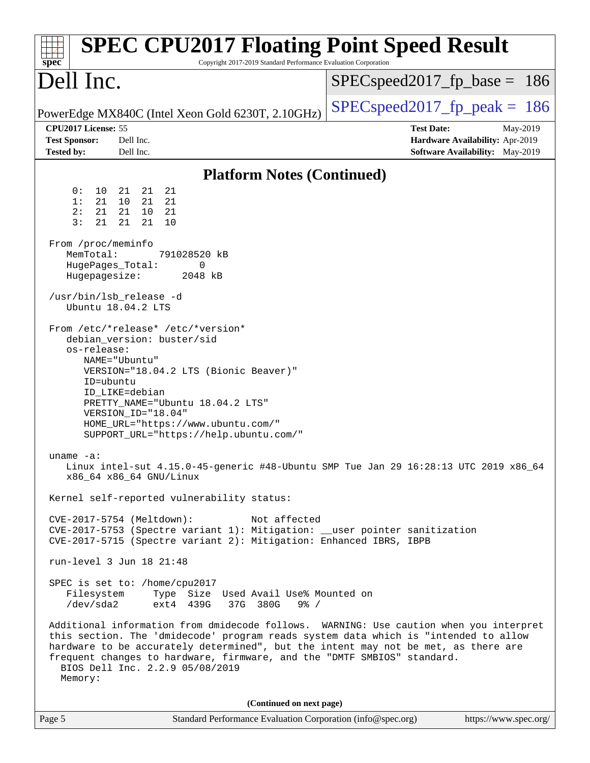| <b>SPEC CPU2017 Floating Point Speed Result</b><br>Copyright 2017-2019 Standard Performance Evaluation Corporation<br>$spec^*$                                                                                                                                                                                                                                                                                                                                                                                                                                                                                                                                                                                                                                                                                                                                                                                                                                                                                                                                                                                                                                                                                                                                                                                                                                                                                                                                                                                                                                        |                                                                                                     |
|-----------------------------------------------------------------------------------------------------------------------------------------------------------------------------------------------------------------------------------------------------------------------------------------------------------------------------------------------------------------------------------------------------------------------------------------------------------------------------------------------------------------------------------------------------------------------------------------------------------------------------------------------------------------------------------------------------------------------------------------------------------------------------------------------------------------------------------------------------------------------------------------------------------------------------------------------------------------------------------------------------------------------------------------------------------------------------------------------------------------------------------------------------------------------------------------------------------------------------------------------------------------------------------------------------------------------------------------------------------------------------------------------------------------------------------------------------------------------------------------------------------------------------------------------------------------------|-----------------------------------------------------------------------------------------------------|
| Dell Inc.                                                                                                                                                                                                                                                                                                                                                                                                                                                                                                                                                                                                                                                                                                                                                                                                                                                                                                                                                                                                                                                                                                                                                                                                                                                                                                                                                                                                                                                                                                                                                             | $SPEC speed2017_f p\_base = 186$                                                                    |
| PowerEdge MX840C (Intel Xeon Gold 6230T, 2.10GHz)                                                                                                                                                                                                                                                                                                                                                                                                                                                                                                                                                                                                                                                                                                                                                                                                                                                                                                                                                                                                                                                                                                                                                                                                                                                                                                                                                                                                                                                                                                                     | $SPEC speed2017_fp\_peak = 186$                                                                     |
| CPU2017 License: 55<br><b>Test Sponsor:</b><br>Dell Inc.<br><b>Tested by:</b><br>Dell Inc.                                                                                                                                                                                                                                                                                                                                                                                                                                                                                                                                                                                                                                                                                                                                                                                                                                                                                                                                                                                                                                                                                                                                                                                                                                                                                                                                                                                                                                                                            | <b>Test Date:</b><br>May-2019<br>Hardware Availability: Apr-2019<br>Software Availability: May-2019 |
| <b>Platform Notes (Continued)</b>                                                                                                                                                                                                                                                                                                                                                                                                                                                                                                                                                                                                                                                                                                                                                                                                                                                                                                                                                                                                                                                                                                                                                                                                                                                                                                                                                                                                                                                                                                                                     |                                                                                                     |
| 21<br>0 :<br>10<br>21<br>21<br>1:<br>21<br>21<br>10<br>21<br>2:<br>21<br>21<br>10<br>- 21<br>3:<br>21<br>21<br>21<br>10<br>From /proc/meminfo<br>MemTotal:<br>791028520 kB<br>HugePages_Total:<br>0<br>Hugepagesize:<br>2048 kB<br>/usr/bin/lsb_release -d<br>Ubuntu 18.04.2 LTS<br>From /etc/*release* /etc/*version*<br>debian_version: buster/sid<br>os-release:<br>NAME="Ubuntu"<br>VERSION="18.04.2 LTS (Bionic Beaver)"<br>ID=ubuntu<br>ID_LIKE=debian<br>PRETTY_NAME="Ubuntu 18.04.2 LTS"<br>VERSION_ID="18.04"<br>HOME_URL="https://www.ubuntu.com/"<br>SUPPORT_URL="https://help.ubuntu.com/"<br>uname $-a$ :<br>Linux intel-sut 4.15.0-45-generic #48-Ubuntu SMP Tue Jan 29 16:28:13 UTC 2019 x86_64<br>x86_64 x86_64 GNU/Linux<br>Kernel self-reported vulnerability status:<br>CVE-2017-5754 (Meltdown):<br>Not affected<br>CVE-2017-5753 (Spectre variant 1): Mitigation: __user pointer sanitization<br>CVE-2017-5715 (Spectre variant 2): Mitigation: Enhanced IBRS, IBPB<br>run-level 3 Jun 18 21:48<br>SPEC is set to: /home/cpu2017<br>Filesystem<br>Type Size Used Avail Use% Mounted on<br>ext4 439G<br>37G 380G<br>/dev/sda2<br>$9\frac{6}{9}$ /<br>Additional information from dmidecode follows. WARNING: Use caution when you interpret<br>this section. The 'dmidecode' program reads system data which is "intended to allow<br>hardware to be accurately determined", but the intent may not be met, as there are<br>frequent changes to hardware, firmware, and the "DMTF SMBIOS" standard.<br>BIOS Dell Inc. 2.2.9 05/08/2019<br>Memory: |                                                                                                     |
| (Continued on next page)                                                                                                                                                                                                                                                                                                                                                                                                                                                                                                                                                                                                                                                                                                                                                                                                                                                                                                                                                                                                                                                                                                                                                                                                                                                                                                                                                                                                                                                                                                                                              |                                                                                                     |
| Page 5<br>Standard Performance Evaluation Corporation (info@spec.org)                                                                                                                                                                                                                                                                                                                                                                                                                                                                                                                                                                                                                                                                                                                                                                                                                                                                                                                                                                                                                                                                                                                                                                                                                                                                                                                                                                                                                                                                                                 | https://www.spec.org/                                                                               |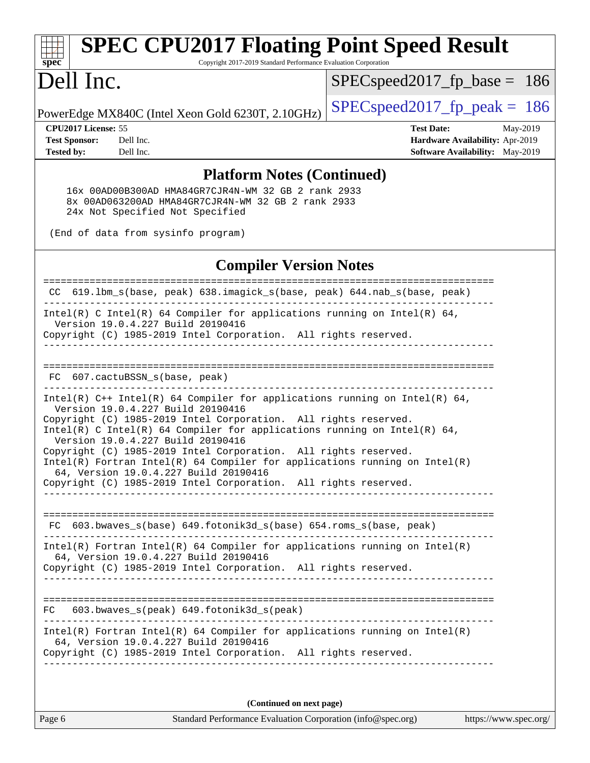### **[spec](http://www.spec.org/) [SPEC CPU2017 Floating Point Speed Result](http://www.spec.org/auto/cpu2017/Docs/result-fields.html#SPECCPU2017FloatingPointSpeedResult)**

Copyright 2017-2019 Standard Performance Evaluation Corporation

## Dell Inc.

[SPECspeed2017\\_fp\\_base =](http://www.spec.org/auto/cpu2017/Docs/result-fields.html#SPECspeed2017fpbase) 186

PowerEdge MX840C (Intel Xeon Gold 6230T, 2.10GHz)  $\left|$  [SPECspeed2017\\_fp\\_peak =](http://www.spec.org/auto/cpu2017/Docs/result-fields.html#SPECspeed2017fppeak) 186

**[CPU2017 License:](http://www.spec.org/auto/cpu2017/Docs/result-fields.html#CPU2017License)** 55 **[Test Date:](http://www.spec.org/auto/cpu2017/Docs/result-fields.html#TestDate)** May-2019 **[Test Sponsor:](http://www.spec.org/auto/cpu2017/Docs/result-fields.html#TestSponsor)** Dell Inc. **[Hardware Availability:](http://www.spec.org/auto/cpu2017/Docs/result-fields.html#HardwareAvailability)** Apr-2019 **[Tested by:](http://www.spec.org/auto/cpu2017/Docs/result-fields.html#Testedby)** Dell Inc. **[Software Availability:](http://www.spec.org/auto/cpu2017/Docs/result-fields.html#SoftwareAvailability)** May-2019

#### **[Platform Notes \(Continued\)](http://www.spec.org/auto/cpu2017/Docs/result-fields.html#PlatformNotes)**

 16x 00AD00B300AD HMA84GR7CJR4N-WM 32 GB 2 rank 2933 8x 00AD063200AD HMA84GR7CJR4N-WM 32 GB 2 rank 2933 24x Not Specified Not Specified

(End of data from sysinfo program)

#### **[Compiler Version Notes](http://www.spec.org/auto/cpu2017/Docs/result-fields.html#CompilerVersionNotes)**

| 619.1bm_s(base, peak) 638.imagick_s(base, peak) 644.nab_s(base, peak)<br>CC.                                                                                                             |
|------------------------------------------------------------------------------------------------------------------------------------------------------------------------------------------|
| Intel(R) C Intel(R) 64 Compiler for applications running on Intel(R) 64,<br>Version 19.0.4.227 Build 20190416<br>Copyright (C) 1985-2019 Intel Corporation. All rights reserved.         |
|                                                                                                                                                                                          |
| --------------------------------<br>607.cactuBSSN_s(base, peak)<br>FC.                                                                                                                   |
| Intel(R) $C++$ Intel(R) 64 Compiler for applications running on Intel(R) 64,<br>Version 19.0.4.227 Build 20190416                                                                        |
| Copyright (C) 1985-2019 Intel Corporation. All rights reserved.<br>$Intel(R)$ C Intel(R) 64 Compiler for applications running on Intel(R) 64,<br>Version 19.0.4.227 Build 20190416       |
| Copyright (C) 1985-2019 Intel Corporation. All rights reserved.<br>$Intel(R)$ Fortran Intel(R) 64 Compiler for applications running on Intel(R)<br>64, Version 19.0.4.227 Build 20190416 |
| Copyright (C) 1985-2019 Intel Corporation. All rights reserved.                                                                                                                          |
| FC 603.bwaves_s(base) 649.fotonik3d_s(base) 654.roms_s(base, peak)                                                                                                                       |
| $Intel(R)$ Fortran Intel(R) 64 Compiler for applications running on Intel(R)<br>64, Version 19.0.4.227 Build 20190416                                                                    |
| Copyright (C) 1985-2019 Intel Corporation. All rights reserved.                                                                                                                          |
| 603.bwaves_s(peak) 649.fotonik3d_s(peak)<br>FC                                                                                                                                           |
| $Intel(R)$ Fortran Intel(R) 64 Compiler for applications running on Intel(R)<br>64, Version 19.0.4.227 Build 20190416<br>Copyright (C) 1985-2019 Intel Corporation. All rights reserved. |
|                                                                                                                                                                                          |

**(Continued on next page)**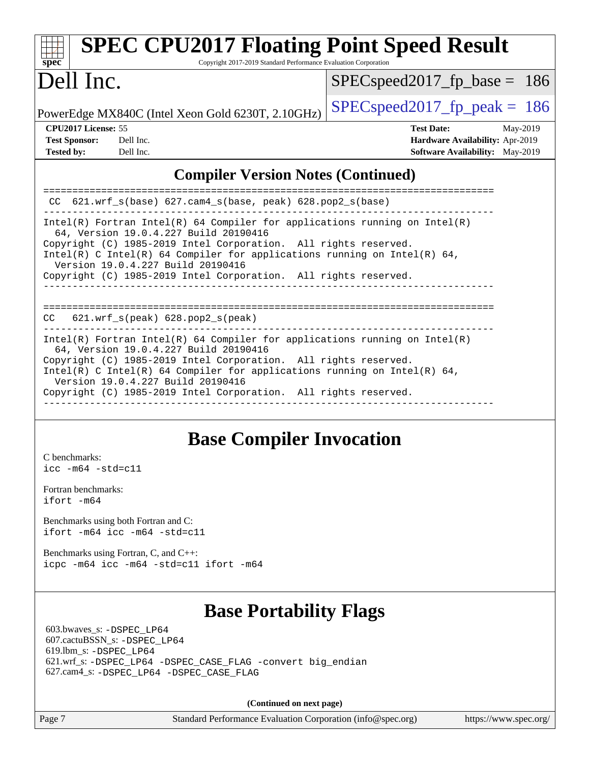| $spec^*$                   | <b>SPEC CPU2017 Floating Point Speed Result</b><br>Copyright 2017-2019 Standard Performance Evaluation Corporation |                                        |  |
|----------------------------|--------------------------------------------------------------------------------------------------------------------|----------------------------------------|--|
| Dell Inc.                  |                                                                                                                    | $SPEC speed2017_fp\_base = 186$        |  |
|                            | PowerEdge MX840C (Intel Xeon Gold 6230T, 2.10GHz)                                                                  | $SPEC speed2017fp peak = 186$          |  |
| <b>CPU2017 License: 55</b> |                                                                                                                    | <b>Test Date:</b><br>May-2019          |  |
| <b>Test Sponsor:</b>       | Dell Inc.                                                                                                          | Hardware Availability: Apr-2019        |  |
| <b>Tested by:</b>          | Dell Inc.                                                                                                          | <b>Software Availability:</b> May-2019 |  |
|                            |                                                                                                                    |                                        |  |

#### **[Compiler Version Notes \(Continued\)](http://www.spec.org/auto/cpu2017/Docs/result-fields.html#CompilerVersionNotes)**

| CC $621.wrf$ s(base) $627.cam4$ s(base, peak) $628.pop2$ s(base)                                                                                                                                                                                                                                        |
|---------------------------------------------------------------------------------------------------------------------------------------------------------------------------------------------------------------------------------------------------------------------------------------------------------|
| Intel(R) Fortran Intel(R) 64 Compiler for applications running on Intel(R)<br>64, Version 19.0.4.227 Build 20190416<br>Copyright (C) 1985-2019 Intel Corporation. All rights reserved.<br>Intel(R) C Intel(R) 64 Compiler for applications running on Intel(R) 64,<br>Version 19.0.4.227 Build 20190416 |
| Copyright (C) 1985-2019 Intel Corporation. All rights reserved.                                                                                                                                                                                                                                         |
| $621.wrf$ s(peak) $628.pop2$ s(peak)<br>CC.                                                                                                                                                                                                                                                             |
| Intel(R) Fortran Intel(R) 64 Compiler for applications running on Intel(R)<br>64, Version 19.0.4.227 Build 20190416<br>Copyright (C) 1985-2019 Intel Corporation. All rights reserved.                                                                                                                  |
| Intel(R) C Intel(R) 64 Compiler for applications running on Intel(R) 64,<br>Version 19.0.4.227 Build 20190416<br>Copyright (C) 1985-2019 Intel Corporation. All rights reserved.                                                                                                                        |
|                                                                                                                                                                                                                                                                                                         |

## **[Base Compiler Invocation](http://www.spec.org/auto/cpu2017/Docs/result-fields.html#BaseCompilerInvocation)**

[C benchmarks](http://www.spec.org/auto/cpu2017/Docs/result-fields.html#Cbenchmarks): [icc -m64 -std=c11](http://www.spec.org/cpu2017/results/res2019q3/cpu2017-20190708-15962.flags.html#user_CCbase_intel_icc_64bit_c11_33ee0cdaae7deeeab2a9725423ba97205ce30f63b9926c2519791662299b76a0318f32ddfffdc46587804de3178b4f9328c46fa7c2b0cd779d7a61945c91cd35)

[Fortran benchmarks](http://www.spec.org/auto/cpu2017/Docs/result-fields.html#Fortranbenchmarks): [ifort -m64](http://www.spec.org/cpu2017/results/res2019q3/cpu2017-20190708-15962.flags.html#user_FCbase_intel_ifort_64bit_24f2bb282fbaeffd6157abe4f878425411749daecae9a33200eee2bee2fe76f3b89351d69a8130dd5949958ce389cf37ff59a95e7a40d588e8d3a57e0c3fd751)

[Benchmarks using both Fortran and C](http://www.spec.org/auto/cpu2017/Docs/result-fields.html#BenchmarksusingbothFortranandC): [ifort -m64](http://www.spec.org/cpu2017/results/res2019q3/cpu2017-20190708-15962.flags.html#user_CC_FCbase_intel_ifort_64bit_24f2bb282fbaeffd6157abe4f878425411749daecae9a33200eee2bee2fe76f3b89351d69a8130dd5949958ce389cf37ff59a95e7a40d588e8d3a57e0c3fd751) [icc -m64 -std=c11](http://www.spec.org/cpu2017/results/res2019q3/cpu2017-20190708-15962.flags.html#user_CC_FCbase_intel_icc_64bit_c11_33ee0cdaae7deeeab2a9725423ba97205ce30f63b9926c2519791662299b76a0318f32ddfffdc46587804de3178b4f9328c46fa7c2b0cd779d7a61945c91cd35)

[Benchmarks using Fortran, C, and C++:](http://www.spec.org/auto/cpu2017/Docs/result-fields.html#BenchmarksusingFortranCandCXX) [icpc -m64](http://www.spec.org/cpu2017/results/res2019q3/cpu2017-20190708-15962.flags.html#user_CC_CXX_FCbase_intel_icpc_64bit_4ecb2543ae3f1412ef961e0650ca070fec7b7afdcd6ed48761b84423119d1bf6bdf5cad15b44d48e7256388bc77273b966e5eb805aefd121eb22e9299b2ec9d9) [icc -m64 -std=c11](http://www.spec.org/cpu2017/results/res2019q3/cpu2017-20190708-15962.flags.html#user_CC_CXX_FCbase_intel_icc_64bit_c11_33ee0cdaae7deeeab2a9725423ba97205ce30f63b9926c2519791662299b76a0318f32ddfffdc46587804de3178b4f9328c46fa7c2b0cd779d7a61945c91cd35) [ifort -m64](http://www.spec.org/cpu2017/results/res2019q3/cpu2017-20190708-15962.flags.html#user_CC_CXX_FCbase_intel_ifort_64bit_24f2bb282fbaeffd6157abe4f878425411749daecae9a33200eee2bee2fe76f3b89351d69a8130dd5949958ce389cf37ff59a95e7a40d588e8d3a57e0c3fd751)

## **[Base Portability Flags](http://www.spec.org/auto/cpu2017/Docs/result-fields.html#BasePortabilityFlags)**

 603.bwaves\_s: [-DSPEC\\_LP64](http://www.spec.org/cpu2017/results/res2019q3/cpu2017-20190708-15962.flags.html#suite_basePORTABILITY603_bwaves_s_DSPEC_LP64) 607.cactuBSSN\_s: [-DSPEC\\_LP64](http://www.spec.org/cpu2017/results/res2019q3/cpu2017-20190708-15962.flags.html#suite_basePORTABILITY607_cactuBSSN_s_DSPEC_LP64) 619.lbm\_s: [-DSPEC\\_LP64](http://www.spec.org/cpu2017/results/res2019q3/cpu2017-20190708-15962.flags.html#suite_basePORTABILITY619_lbm_s_DSPEC_LP64) 621.wrf\_s: [-DSPEC\\_LP64](http://www.spec.org/cpu2017/results/res2019q3/cpu2017-20190708-15962.flags.html#suite_basePORTABILITY621_wrf_s_DSPEC_LP64) [-DSPEC\\_CASE\\_FLAG](http://www.spec.org/cpu2017/results/res2019q3/cpu2017-20190708-15962.flags.html#b621.wrf_s_baseCPORTABILITY_DSPEC_CASE_FLAG) [-convert big\\_endian](http://www.spec.org/cpu2017/results/res2019q3/cpu2017-20190708-15962.flags.html#user_baseFPORTABILITY621_wrf_s_convert_big_endian_c3194028bc08c63ac5d04de18c48ce6d347e4e562e8892b8bdbdc0214820426deb8554edfa529a3fb25a586e65a3d812c835984020483e7e73212c4d31a38223) 627.cam4\_s: [-DSPEC\\_LP64](http://www.spec.org/cpu2017/results/res2019q3/cpu2017-20190708-15962.flags.html#suite_basePORTABILITY627_cam4_s_DSPEC_LP64) [-DSPEC\\_CASE\\_FLAG](http://www.spec.org/cpu2017/results/res2019q3/cpu2017-20190708-15962.flags.html#b627.cam4_s_baseCPORTABILITY_DSPEC_CASE_FLAG)

**(Continued on next page)**

Page 7 Standard Performance Evaluation Corporation [\(info@spec.org\)](mailto:info@spec.org) <https://www.spec.org/>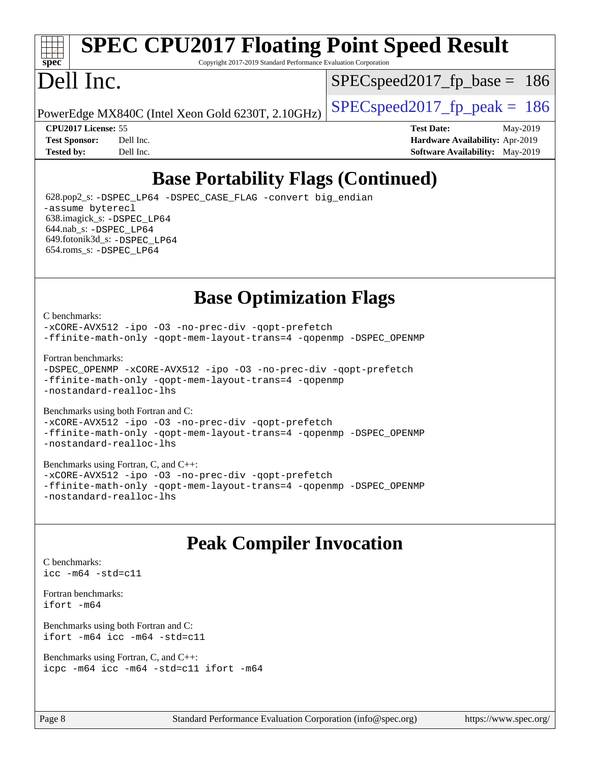# **[spec](http://www.spec.org/)**

## **[SPEC CPU2017 Floating Point Speed Result](http://www.spec.org/auto/cpu2017/Docs/result-fields.html#SPECCPU2017FloatingPointSpeedResult)**

Copyright 2017-2019 Standard Performance Evaluation Corporation

## Dell Inc.

SPECspeed2017 fp base  $= 186$ 

PowerEdge MX840C (Intel Xeon Gold 6230T, 2.10GHz)  $\left|$  [SPECspeed2017\\_fp\\_peak =](http://www.spec.org/auto/cpu2017/Docs/result-fields.html#SPECspeed2017fppeak) 186

**[CPU2017 License:](http://www.spec.org/auto/cpu2017/Docs/result-fields.html#CPU2017License)** 55 **[Test Date:](http://www.spec.org/auto/cpu2017/Docs/result-fields.html#TestDate)** May-2019 **[Test Sponsor:](http://www.spec.org/auto/cpu2017/Docs/result-fields.html#TestSponsor)** Dell Inc. **[Hardware Availability:](http://www.spec.org/auto/cpu2017/Docs/result-fields.html#HardwareAvailability)** Apr-2019 **[Tested by:](http://www.spec.org/auto/cpu2017/Docs/result-fields.html#Testedby)** Dell Inc. **[Software Availability:](http://www.spec.org/auto/cpu2017/Docs/result-fields.html#SoftwareAvailability)** May-2019

## **[Base Portability Flags \(Continued\)](http://www.spec.org/auto/cpu2017/Docs/result-fields.html#BasePortabilityFlags)**

 628.pop2\_s: [-DSPEC\\_LP64](http://www.spec.org/cpu2017/results/res2019q3/cpu2017-20190708-15962.flags.html#suite_basePORTABILITY628_pop2_s_DSPEC_LP64) [-DSPEC\\_CASE\\_FLAG](http://www.spec.org/cpu2017/results/res2019q3/cpu2017-20190708-15962.flags.html#b628.pop2_s_baseCPORTABILITY_DSPEC_CASE_FLAG) [-convert big\\_endian](http://www.spec.org/cpu2017/results/res2019q3/cpu2017-20190708-15962.flags.html#user_baseFPORTABILITY628_pop2_s_convert_big_endian_c3194028bc08c63ac5d04de18c48ce6d347e4e562e8892b8bdbdc0214820426deb8554edfa529a3fb25a586e65a3d812c835984020483e7e73212c4d31a38223) [-assume byterecl](http://www.spec.org/cpu2017/results/res2019q3/cpu2017-20190708-15962.flags.html#user_baseFPORTABILITY628_pop2_s_assume_byterecl_7e47d18b9513cf18525430bbf0f2177aa9bf368bc7a059c09b2c06a34b53bd3447c950d3f8d6c70e3faf3a05c8557d66a5798b567902e8849adc142926523472) 638.imagick\_s: [-DSPEC\\_LP64](http://www.spec.org/cpu2017/results/res2019q3/cpu2017-20190708-15962.flags.html#suite_basePORTABILITY638_imagick_s_DSPEC_LP64) 644.nab\_s: [-DSPEC\\_LP64](http://www.spec.org/cpu2017/results/res2019q3/cpu2017-20190708-15962.flags.html#suite_basePORTABILITY644_nab_s_DSPEC_LP64) 649.fotonik3d\_s: [-DSPEC\\_LP64](http://www.spec.org/cpu2017/results/res2019q3/cpu2017-20190708-15962.flags.html#suite_basePORTABILITY649_fotonik3d_s_DSPEC_LP64) 654.roms\_s: [-DSPEC\\_LP64](http://www.spec.org/cpu2017/results/res2019q3/cpu2017-20190708-15962.flags.html#suite_basePORTABILITY654_roms_s_DSPEC_LP64)

## **[Base Optimization Flags](http://www.spec.org/auto/cpu2017/Docs/result-fields.html#BaseOptimizationFlags)**

#### [C benchmarks](http://www.spec.org/auto/cpu2017/Docs/result-fields.html#Cbenchmarks):

[-xCORE-AVX512](http://www.spec.org/cpu2017/results/res2019q3/cpu2017-20190708-15962.flags.html#user_CCbase_f-xCORE-AVX512) [-ipo](http://www.spec.org/cpu2017/results/res2019q3/cpu2017-20190708-15962.flags.html#user_CCbase_f-ipo) -03 [-no-prec-div](http://www.spec.org/cpu2017/results/res2019q3/cpu2017-20190708-15962.flags.html#user_CCbase_f-no-prec-div) [-qopt-prefetch](http://www.spec.org/cpu2017/results/res2019q3/cpu2017-20190708-15962.flags.html#user_CCbase_f-qopt-prefetch) [-ffinite-math-only](http://www.spec.org/cpu2017/results/res2019q3/cpu2017-20190708-15962.flags.html#user_CCbase_f_finite_math_only_cb91587bd2077682c4b38af759c288ed7c732db004271a9512da14a4f8007909a5f1427ecbf1a0fb78ff2a814402c6114ac565ca162485bbcae155b5e4258871) [-qopt-mem-layout-trans=4](http://www.spec.org/cpu2017/results/res2019q3/cpu2017-20190708-15962.flags.html#user_CCbase_f-qopt-mem-layout-trans_fa39e755916c150a61361b7846f310bcdf6f04e385ef281cadf3647acec3f0ae266d1a1d22d972a7087a248fd4e6ca390a3634700869573d231a252c784941a8) [-qopenmp](http://www.spec.org/cpu2017/results/res2019q3/cpu2017-20190708-15962.flags.html#user_CCbase_qopenmp_16be0c44f24f464004c6784a7acb94aca937f053568ce72f94b139a11c7c168634a55f6653758ddd83bcf7b8463e8028bb0b48b77bcddc6b78d5d95bb1df2967) [-DSPEC\\_OPENMP](http://www.spec.org/cpu2017/results/res2019q3/cpu2017-20190708-15962.flags.html#suite_CCbase_DSPEC_OPENMP)

[Fortran benchmarks](http://www.spec.org/auto/cpu2017/Docs/result-fields.html#Fortranbenchmarks):

```
-DSPEC_OPENMP -xCORE-AVX512 -ipo -O3 -no-prec-div -qopt-prefetch
-ffinite-math-only -qopt-mem-layout-trans=4 -qopenmp
-nostandard-realloc-lhs
```
[Benchmarks using both Fortran and C](http://www.spec.org/auto/cpu2017/Docs/result-fields.html#BenchmarksusingbothFortranandC): [-xCORE-AVX512](http://www.spec.org/cpu2017/results/res2019q3/cpu2017-20190708-15962.flags.html#user_CC_FCbase_f-xCORE-AVX512) [-ipo](http://www.spec.org/cpu2017/results/res2019q3/cpu2017-20190708-15962.flags.html#user_CC_FCbase_f-ipo) [-O3](http://www.spec.org/cpu2017/results/res2019q3/cpu2017-20190708-15962.flags.html#user_CC_FCbase_f-O3) [-no-prec-div](http://www.spec.org/cpu2017/results/res2019q3/cpu2017-20190708-15962.flags.html#user_CC_FCbase_f-no-prec-div) [-qopt-prefetch](http://www.spec.org/cpu2017/results/res2019q3/cpu2017-20190708-15962.flags.html#user_CC_FCbase_f-qopt-prefetch) [-ffinite-math-only](http://www.spec.org/cpu2017/results/res2019q3/cpu2017-20190708-15962.flags.html#user_CC_FCbase_f_finite_math_only_cb91587bd2077682c4b38af759c288ed7c732db004271a9512da14a4f8007909a5f1427ecbf1a0fb78ff2a814402c6114ac565ca162485bbcae155b5e4258871) [-qopt-mem-layout-trans=4](http://www.spec.org/cpu2017/results/res2019q3/cpu2017-20190708-15962.flags.html#user_CC_FCbase_f-qopt-mem-layout-trans_fa39e755916c150a61361b7846f310bcdf6f04e385ef281cadf3647acec3f0ae266d1a1d22d972a7087a248fd4e6ca390a3634700869573d231a252c784941a8) [-qopenmp](http://www.spec.org/cpu2017/results/res2019q3/cpu2017-20190708-15962.flags.html#user_CC_FCbase_qopenmp_16be0c44f24f464004c6784a7acb94aca937f053568ce72f94b139a11c7c168634a55f6653758ddd83bcf7b8463e8028bb0b48b77bcddc6b78d5d95bb1df2967) [-DSPEC\\_OPENMP](http://www.spec.org/cpu2017/results/res2019q3/cpu2017-20190708-15962.flags.html#suite_CC_FCbase_DSPEC_OPENMP) [-nostandard-realloc-lhs](http://www.spec.org/cpu2017/results/res2019q3/cpu2017-20190708-15962.flags.html#user_CC_FCbase_f_2003_std_realloc_82b4557e90729c0f113870c07e44d33d6f5a304b4f63d4c15d2d0f1fab99f5daaed73bdb9275d9ae411527f28b936061aa8b9c8f2d63842963b95c9dd6426b8a)

[Benchmarks using Fortran, C, and C++:](http://www.spec.org/auto/cpu2017/Docs/result-fields.html#BenchmarksusingFortranCandCXX) [-xCORE-AVX512](http://www.spec.org/cpu2017/results/res2019q3/cpu2017-20190708-15962.flags.html#user_CC_CXX_FCbase_f-xCORE-AVX512) [-ipo](http://www.spec.org/cpu2017/results/res2019q3/cpu2017-20190708-15962.flags.html#user_CC_CXX_FCbase_f-ipo) [-O3](http://www.spec.org/cpu2017/results/res2019q3/cpu2017-20190708-15962.flags.html#user_CC_CXX_FCbase_f-O3) [-no-prec-div](http://www.spec.org/cpu2017/results/res2019q3/cpu2017-20190708-15962.flags.html#user_CC_CXX_FCbase_f-no-prec-div) [-qopt-prefetch](http://www.spec.org/cpu2017/results/res2019q3/cpu2017-20190708-15962.flags.html#user_CC_CXX_FCbase_f-qopt-prefetch) [-ffinite-math-only](http://www.spec.org/cpu2017/results/res2019q3/cpu2017-20190708-15962.flags.html#user_CC_CXX_FCbase_f_finite_math_only_cb91587bd2077682c4b38af759c288ed7c732db004271a9512da14a4f8007909a5f1427ecbf1a0fb78ff2a814402c6114ac565ca162485bbcae155b5e4258871) [-qopt-mem-layout-trans=4](http://www.spec.org/cpu2017/results/res2019q3/cpu2017-20190708-15962.flags.html#user_CC_CXX_FCbase_f-qopt-mem-layout-trans_fa39e755916c150a61361b7846f310bcdf6f04e385ef281cadf3647acec3f0ae266d1a1d22d972a7087a248fd4e6ca390a3634700869573d231a252c784941a8) [-qopenmp](http://www.spec.org/cpu2017/results/res2019q3/cpu2017-20190708-15962.flags.html#user_CC_CXX_FCbase_qopenmp_16be0c44f24f464004c6784a7acb94aca937f053568ce72f94b139a11c7c168634a55f6653758ddd83bcf7b8463e8028bb0b48b77bcddc6b78d5d95bb1df2967) [-DSPEC\\_OPENMP](http://www.spec.org/cpu2017/results/res2019q3/cpu2017-20190708-15962.flags.html#suite_CC_CXX_FCbase_DSPEC_OPENMP) [-nostandard-realloc-lhs](http://www.spec.org/cpu2017/results/res2019q3/cpu2017-20190708-15962.flags.html#user_CC_CXX_FCbase_f_2003_std_realloc_82b4557e90729c0f113870c07e44d33d6f5a304b4f63d4c15d2d0f1fab99f5daaed73bdb9275d9ae411527f28b936061aa8b9c8f2d63842963b95c9dd6426b8a)

## **[Peak Compiler Invocation](http://www.spec.org/auto/cpu2017/Docs/result-fields.html#PeakCompilerInvocation)**

```
C benchmarks: 
icc -m64 -std=c11
```
[Fortran benchmarks](http://www.spec.org/auto/cpu2017/Docs/result-fields.html#Fortranbenchmarks): [ifort -m64](http://www.spec.org/cpu2017/results/res2019q3/cpu2017-20190708-15962.flags.html#user_FCpeak_intel_ifort_64bit_24f2bb282fbaeffd6157abe4f878425411749daecae9a33200eee2bee2fe76f3b89351d69a8130dd5949958ce389cf37ff59a95e7a40d588e8d3a57e0c3fd751)

[Benchmarks using both Fortran and C](http://www.spec.org/auto/cpu2017/Docs/result-fields.html#BenchmarksusingbothFortranandC): [ifort -m64](http://www.spec.org/cpu2017/results/res2019q3/cpu2017-20190708-15962.flags.html#user_CC_FCpeak_intel_ifort_64bit_24f2bb282fbaeffd6157abe4f878425411749daecae9a33200eee2bee2fe76f3b89351d69a8130dd5949958ce389cf37ff59a95e7a40d588e8d3a57e0c3fd751) [icc -m64 -std=c11](http://www.spec.org/cpu2017/results/res2019q3/cpu2017-20190708-15962.flags.html#user_CC_FCpeak_intel_icc_64bit_c11_33ee0cdaae7deeeab2a9725423ba97205ce30f63b9926c2519791662299b76a0318f32ddfffdc46587804de3178b4f9328c46fa7c2b0cd779d7a61945c91cd35)

[Benchmarks using Fortran, C, and C++:](http://www.spec.org/auto/cpu2017/Docs/result-fields.html#BenchmarksusingFortranCandCXX) [icpc -m64](http://www.spec.org/cpu2017/results/res2019q3/cpu2017-20190708-15962.flags.html#user_CC_CXX_FCpeak_intel_icpc_64bit_4ecb2543ae3f1412ef961e0650ca070fec7b7afdcd6ed48761b84423119d1bf6bdf5cad15b44d48e7256388bc77273b966e5eb805aefd121eb22e9299b2ec9d9) [icc -m64 -std=c11](http://www.spec.org/cpu2017/results/res2019q3/cpu2017-20190708-15962.flags.html#user_CC_CXX_FCpeak_intel_icc_64bit_c11_33ee0cdaae7deeeab2a9725423ba97205ce30f63b9926c2519791662299b76a0318f32ddfffdc46587804de3178b4f9328c46fa7c2b0cd779d7a61945c91cd35) [ifort -m64](http://www.spec.org/cpu2017/results/res2019q3/cpu2017-20190708-15962.flags.html#user_CC_CXX_FCpeak_intel_ifort_64bit_24f2bb282fbaeffd6157abe4f878425411749daecae9a33200eee2bee2fe76f3b89351d69a8130dd5949958ce389cf37ff59a95e7a40d588e8d3a57e0c3fd751)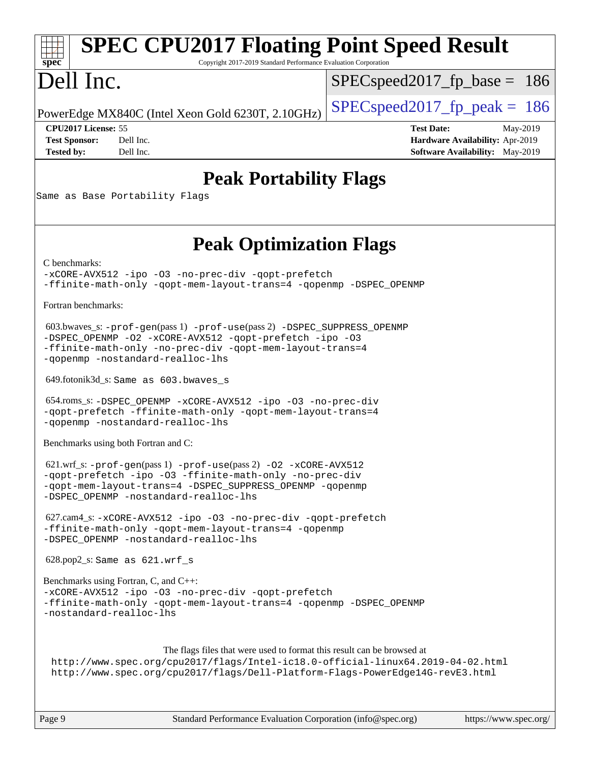### **[spec](http://www.spec.org/) [SPEC CPU2017 Floating Point Speed Result](http://www.spec.org/auto/cpu2017/Docs/result-fields.html#SPECCPU2017FloatingPointSpeedResult)** Copyright 2017-2019 Standard Performance Evaluation Corporation Dell Inc. PowerEdge MX840C (Intel Xeon Gold 6230T, 2.10GHz)  $\left|$  [SPECspeed2017\\_fp\\_peak =](http://www.spec.org/auto/cpu2017/Docs/result-fields.html#SPECspeed2017fppeak) 186 SPECspeed2017 fp base  $= 186$ **[CPU2017 License:](http://www.spec.org/auto/cpu2017/Docs/result-fields.html#CPU2017License)** 55 **[Test Date:](http://www.spec.org/auto/cpu2017/Docs/result-fields.html#TestDate)** May-2019 **[Test Sponsor:](http://www.spec.org/auto/cpu2017/Docs/result-fields.html#TestSponsor)** Dell Inc. **[Hardware Availability:](http://www.spec.org/auto/cpu2017/Docs/result-fields.html#HardwareAvailability)** Apr-2019 **[Tested by:](http://www.spec.org/auto/cpu2017/Docs/result-fields.html#Testedby)** Dell Inc. Dell Inc. **[Software Availability:](http://www.spec.org/auto/cpu2017/Docs/result-fields.html#SoftwareAvailability)** May-2019 **[Peak Portability Flags](http://www.spec.org/auto/cpu2017/Docs/result-fields.html#PeakPortabilityFlags)** Same as Base Portability Flags **[Peak Optimization Flags](http://www.spec.org/auto/cpu2017/Docs/result-fields.html#PeakOptimizationFlags)** [C benchmarks](http://www.spec.org/auto/cpu2017/Docs/result-fields.html#Cbenchmarks): [-xCORE-AVX512](http://www.spec.org/cpu2017/results/res2019q3/cpu2017-20190708-15962.flags.html#user_CCpeak_f-xCORE-AVX512) [-ipo](http://www.spec.org/cpu2017/results/res2019q3/cpu2017-20190708-15962.flags.html#user_CCpeak_f-ipo) [-O3](http://www.spec.org/cpu2017/results/res2019q3/cpu2017-20190708-15962.flags.html#user_CCpeak_f-O3) [-no-prec-div](http://www.spec.org/cpu2017/results/res2019q3/cpu2017-20190708-15962.flags.html#user_CCpeak_f-no-prec-div) [-qopt-prefetch](http://www.spec.org/cpu2017/results/res2019q3/cpu2017-20190708-15962.flags.html#user_CCpeak_f-qopt-prefetch) [-ffinite-math-only](http://www.spec.org/cpu2017/results/res2019q3/cpu2017-20190708-15962.flags.html#user_CCpeak_f_finite_math_only_cb91587bd2077682c4b38af759c288ed7c732db004271a9512da14a4f8007909a5f1427ecbf1a0fb78ff2a814402c6114ac565ca162485bbcae155b5e4258871) [-qopt-mem-layout-trans=4](http://www.spec.org/cpu2017/results/res2019q3/cpu2017-20190708-15962.flags.html#user_CCpeak_f-qopt-mem-layout-trans_fa39e755916c150a61361b7846f310bcdf6f04e385ef281cadf3647acec3f0ae266d1a1d22d972a7087a248fd4e6ca390a3634700869573d231a252c784941a8) [-qopenmp](http://www.spec.org/cpu2017/results/res2019q3/cpu2017-20190708-15962.flags.html#user_CCpeak_qopenmp_16be0c44f24f464004c6784a7acb94aca937f053568ce72f94b139a11c7c168634a55f6653758ddd83bcf7b8463e8028bb0b48b77bcddc6b78d5d95bb1df2967) [-DSPEC\\_OPENMP](http://www.spec.org/cpu2017/results/res2019q3/cpu2017-20190708-15962.flags.html#suite_CCpeak_DSPEC_OPENMP) [Fortran benchmarks](http://www.spec.org/auto/cpu2017/Docs/result-fields.html#Fortranbenchmarks): 603.bwaves\_s: [-prof-gen](http://www.spec.org/cpu2017/results/res2019q3/cpu2017-20190708-15962.flags.html#user_peakPASS1_FFLAGSPASS1_LDFLAGS603_bwaves_s_prof_gen_5aa4926d6013ddb2a31985c654b3eb18169fc0c6952a63635c234f711e6e63dd76e94ad52365559451ec499a2cdb89e4dc58ba4c67ef54ca681ffbe1461d6b36)(pass 1) [-prof-use](http://www.spec.org/cpu2017/results/res2019q3/cpu2017-20190708-15962.flags.html#user_peakPASS2_FFLAGSPASS2_LDFLAGS603_bwaves_s_prof_use_1a21ceae95f36a2b53c25747139a6c16ca95bd9def2a207b4f0849963b97e94f5260e30a0c64f4bb623698870e679ca08317ef8150905d41bd88c6f78df73f19)(pass 2) [-DSPEC\\_SUPPRESS\\_OPENMP](http://www.spec.org/cpu2017/results/res2019q3/cpu2017-20190708-15962.flags.html#suite_peakPASS1_FOPTIMIZE603_bwaves_s_DSPEC_SUPPRESS_OPENMP) [-DSPEC\\_OPENMP](http://www.spec.org/cpu2017/results/res2019q3/cpu2017-20190708-15962.flags.html#suite_peakPASS2_FOPTIMIZE603_bwaves_s_DSPEC_OPENMP) [-O2](http://www.spec.org/cpu2017/results/res2019q3/cpu2017-20190708-15962.flags.html#user_peakPASS1_FOPTIMIZE603_bwaves_s_f-O2) [-xCORE-AVX512](http://www.spec.org/cpu2017/results/res2019q3/cpu2017-20190708-15962.flags.html#user_peakPASS2_FOPTIMIZE603_bwaves_s_f-xCORE-AVX512) [-qopt-prefetch](http://www.spec.org/cpu2017/results/res2019q3/cpu2017-20190708-15962.flags.html#user_peakPASS1_FOPTIMIZEPASS2_FOPTIMIZE603_bwaves_s_f-qopt-prefetch) [-ipo](http://www.spec.org/cpu2017/results/res2019q3/cpu2017-20190708-15962.flags.html#user_peakPASS2_FOPTIMIZE603_bwaves_s_f-ipo) [-O3](http://www.spec.org/cpu2017/results/res2019q3/cpu2017-20190708-15962.flags.html#user_peakPASS2_FOPTIMIZE603_bwaves_s_f-O3) [-ffinite-math-only](http://www.spec.org/cpu2017/results/res2019q3/cpu2017-20190708-15962.flags.html#user_peakPASS1_FOPTIMIZEPASS2_FOPTIMIZE603_bwaves_s_f_finite_math_only_cb91587bd2077682c4b38af759c288ed7c732db004271a9512da14a4f8007909a5f1427ecbf1a0fb78ff2a814402c6114ac565ca162485bbcae155b5e4258871) [-no-prec-div](http://www.spec.org/cpu2017/results/res2019q3/cpu2017-20190708-15962.flags.html#user_peakPASS2_FOPTIMIZE603_bwaves_s_f-no-prec-div) [-qopt-mem-layout-trans=4](http://www.spec.org/cpu2017/results/res2019q3/cpu2017-20190708-15962.flags.html#user_peakPASS1_FOPTIMIZEPASS2_FOPTIMIZE603_bwaves_s_f-qopt-mem-layout-trans_fa39e755916c150a61361b7846f310bcdf6f04e385ef281cadf3647acec3f0ae266d1a1d22d972a7087a248fd4e6ca390a3634700869573d231a252c784941a8) [-qopenmp](http://www.spec.org/cpu2017/results/res2019q3/cpu2017-20190708-15962.flags.html#user_peakPASS2_FOPTIMIZE603_bwaves_s_qopenmp_16be0c44f24f464004c6784a7acb94aca937f053568ce72f94b139a11c7c168634a55f6653758ddd83bcf7b8463e8028bb0b48b77bcddc6b78d5d95bb1df2967) [-nostandard-realloc-lhs](http://www.spec.org/cpu2017/results/res2019q3/cpu2017-20190708-15962.flags.html#user_peakEXTRA_FOPTIMIZE603_bwaves_s_f_2003_std_realloc_82b4557e90729c0f113870c07e44d33d6f5a304b4f63d4c15d2d0f1fab99f5daaed73bdb9275d9ae411527f28b936061aa8b9c8f2d63842963b95c9dd6426b8a) 649.fotonik3d\_s: Same as 603.bwaves\_s 654.roms\_s: [-DSPEC\\_OPENMP](http://www.spec.org/cpu2017/results/res2019q3/cpu2017-20190708-15962.flags.html#suite_peakFOPTIMIZE654_roms_s_DSPEC_OPENMP) [-xCORE-AVX512](http://www.spec.org/cpu2017/results/res2019q3/cpu2017-20190708-15962.flags.html#user_peakFOPTIMIZE654_roms_s_f-xCORE-AVX512) [-ipo](http://www.spec.org/cpu2017/results/res2019q3/cpu2017-20190708-15962.flags.html#user_peakFOPTIMIZE654_roms_s_f-ipo) [-O3](http://www.spec.org/cpu2017/results/res2019q3/cpu2017-20190708-15962.flags.html#user_peakFOPTIMIZE654_roms_s_f-O3) [-no-prec-div](http://www.spec.org/cpu2017/results/res2019q3/cpu2017-20190708-15962.flags.html#user_peakFOPTIMIZE654_roms_s_f-no-prec-div) [-qopt-prefetch](http://www.spec.org/cpu2017/results/res2019q3/cpu2017-20190708-15962.flags.html#user_peakFOPTIMIZE654_roms_s_f-qopt-prefetch) [-ffinite-math-only](http://www.spec.org/cpu2017/results/res2019q3/cpu2017-20190708-15962.flags.html#user_peakFOPTIMIZE654_roms_s_f_finite_math_only_cb91587bd2077682c4b38af759c288ed7c732db004271a9512da14a4f8007909a5f1427ecbf1a0fb78ff2a814402c6114ac565ca162485bbcae155b5e4258871) [-qopt-mem-layout-trans=4](http://www.spec.org/cpu2017/results/res2019q3/cpu2017-20190708-15962.flags.html#user_peakFOPTIMIZE654_roms_s_f-qopt-mem-layout-trans_fa39e755916c150a61361b7846f310bcdf6f04e385ef281cadf3647acec3f0ae266d1a1d22d972a7087a248fd4e6ca390a3634700869573d231a252c784941a8) [-qopenmp](http://www.spec.org/cpu2017/results/res2019q3/cpu2017-20190708-15962.flags.html#user_peakFOPTIMIZE654_roms_s_qopenmp_16be0c44f24f464004c6784a7acb94aca937f053568ce72f94b139a11c7c168634a55f6653758ddd83bcf7b8463e8028bb0b48b77bcddc6b78d5d95bb1df2967) [-nostandard-realloc-lhs](http://www.spec.org/cpu2017/results/res2019q3/cpu2017-20190708-15962.flags.html#user_peakEXTRA_FOPTIMIZE654_roms_s_f_2003_std_realloc_82b4557e90729c0f113870c07e44d33d6f5a304b4f63d4c15d2d0f1fab99f5daaed73bdb9275d9ae411527f28b936061aa8b9c8f2d63842963b95c9dd6426b8a) [Benchmarks using both Fortran and C](http://www.spec.org/auto/cpu2017/Docs/result-fields.html#BenchmarksusingbothFortranandC): 621.wrf\_s: [-prof-gen](http://www.spec.org/cpu2017/results/res2019q3/cpu2017-20190708-15962.flags.html#user_peakPASS1_CFLAGSPASS1_FFLAGSPASS1_LDFLAGS621_wrf_s_prof_gen_5aa4926d6013ddb2a31985c654b3eb18169fc0c6952a63635c234f711e6e63dd76e94ad52365559451ec499a2cdb89e4dc58ba4c67ef54ca681ffbe1461d6b36)(pass 1) [-prof-use](http://www.spec.org/cpu2017/results/res2019q3/cpu2017-20190708-15962.flags.html#user_peakPASS2_CFLAGSPASS2_FFLAGSPASS2_LDFLAGS621_wrf_s_prof_use_1a21ceae95f36a2b53c25747139a6c16ca95bd9def2a207b4f0849963b97e94f5260e30a0c64f4bb623698870e679ca08317ef8150905d41bd88c6f78df73f19)(pass 2) [-O2](http://www.spec.org/cpu2017/results/res2019q3/cpu2017-20190708-15962.flags.html#user_peakPASS1_COPTIMIZEPASS1_FOPTIMIZE621_wrf_s_f-O2) [-xCORE-AVX512](http://www.spec.org/cpu2017/results/res2019q3/cpu2017-20190708-15962.flags.html#user_peakPASS2_COPTIMIZEPASS2_FOPTIMIZE621_wrf_s_f-xCORE-AVX512)

[-qopt-prefetch](http://www.spec.org/cpu2017/results/res2019q3/cpu2017-20190708-15962.flags.html#user_peakPASS1_COPTIMIZEPASS1_FOPTIMIZEPASS2_COPTIMIZEPASS2_FOPTIMIZE621_wrf_s_f-qopt-prefetch) [-ipo](http://www.spec.org/cpu2017/results/res2019q3/cpu2017-20190708-15962.flags.html#user_peakPASS2_COPTIMIZEPASS2_FOPTIMIZE621_wrf_s_f-ipo) [-O3](http://www.spec.org/cpu2017/results/res2019q3/cpu2017-20190708-15962.flags.html#user_peakPASS2_COPTIMIZEPASS2_FOPTIMIZE621_wrf_s_f-O3) [-ffinite-math-only](http://www.spec.org/cpu2017/results/res2019q3/cpu2017-20190708-15962.flags.html#user_peakPASS1_COPTIMIZEPASS1_FOPTIMIZEPASS2_COPTIMIZEPASS2_FOPTIMIZE621_wrf_s_f_finite_math_only_cb91587bd2077682c4b38af759c288ed7c732db004271a9512da14a4f8007909a5f1427ecbf1a0fb78ff2a814402c6114ac565ca162485bbcae155b5e4258871) [-no-prec-div](http://www.spec.org/cpu2017/results/res2019q3/cpu2017-20190708-15962.flags.html#user_peakPASS2_COPTIMIZEPASS2_FOPTIMIZE621_wrf_s_f-no-prec-div) [-qopt-mem-layout-trans=4](http://www.spec.org/cpu2017/results/res2019q3/cpu2017-20190708-15962.flags.html#user_peakPASS1_COPTIMIZEPASS1_FOPTIMIZEPASS2_COPTIMIZEPASS2_FOPTIMIZE621_wrf_s_f-qopt-mem-layout-trans_fa39e755916c150a61361b7846f310bcdf6f04e385ef281cadf3647acec3f0ae266d1a1d22d972a7087a248fd4e6ca390a3634700869573d231a252c784941a8) [-DSPEC\\_SUPPRESS\\_OPENMP](http://www.spec.org/cpu2017/results/res2019q3/cpu2017-20190708-15962.flags.html#suite_peakPASS1_COPTIMIZEPASS1_FOPTIMIZE621_wrf_s_DSPEC_SUPPRESS_OPENMP) [-qopenmp](http://www.spec.org/cpu2017/results/res2019q3/cpu2017-20190708-15962.flags.html#user_peakPASS2_COPTIMIZEPASS2_FOPTIMIZE621_wrf_s_qopenmp_16be0c44f24f464004c6784a7acb94aca937f053568ce72f94b139a11c7c168634a55f6653758ddd83bcf7b8463e8028bb0b48b77bcddc6b78d5d95bb1df2967) [-DSPEC\\_OPENMP](http://www.spec.org/cpu2017/results/res2019q3/cpu2017-20190708-15962.flags.html#suite_peakPASS2_COPTIMIZEPASS2_FOPTIMIZE621_wrf_s_DSPEC_OPENMP) [-nostandard-realloc-lhs](http://www.spec.org/cpu2017/results/res2019q3/cpu2017-20190708-15962.flags.html#user_peakEXTRA_FOPTIMIZE621_wrf_s_f_2003_std_realloc_82b4557e90729c0f113870c07e44d33d6f5a304b4f63d4c15d2d0f1fab99f5daaed73bdb9275d9ae411527f28b936061aa8b9c8f2d63842963b95c9dd6426b8a)

 627.cam4\_s: [-xCORE-AVX512](http://www.spec.org/cpu2017/results/res2019q3/cpu2017-20190708-15962.flags.html#user_peakCOPTIMIZEFOPTIMIZE627_cam4_s_f-xCORE-AVX512) [-ipo](http://www.spec.org/cpu2017/results/res2019q3/cpu2017-20190708-15962.flags.html#user_peakCOPTIMIZEFOPTIMIZE627_cam4_s_f-ipo) [-O3](http://www.spec.org/cpu2017/results/res2019q3/cpu2017-20190708-15962.flags.html#user_peakCOPTIMIZEFOPTIMIZE627_cam4_s_f-O3) [-no-prec-div](http://www.spec.org/cpu2017/results/res2019q3/cpu2017-20190708-15962.flags.html#user_peakCOPTIMIZEFOPTIMIZE627_cam4_s_f-no-prec-div) [-qopt-prefetch](http://www.spec.org/cpu2017/results/res2019q3/cpu2017-20190708-15962.flags.html#user_peakCOPTIMIZEFOPTIMIZE627_cam4_s_f-qopt-prefetch) [-ffinite-math-only](http://www.spec.org/cpu2017/results/res2019q3/cpu2017-20190708-15962.flags.html#user_peakCOPTIMIZEFOPTIMIZE627_cam4_s_f_finite_math_only_cb91587bd2077682c4b38af759c288ed7c732db004271a9512da14a4f8007909a5f1427ecbf1a0fb78ff2a814402c6114ac565ca162485bbcae155b5e4258871) [-qopt-mem-layout-trans=4](http://www.spec.org/cpu2017/results/res2019q3/cpu2017-20190708-15962.flags.html#user_peakCOPTIMIZEFOPTIMIZE627_cam4_s_f-qopt-mem-layout-trans_fa39e755916c150a61361b7846f310bcdf6f04e385ef281cadf3647acec3f0ae266d1a1d22d972a7087a248fd4e6ca390a3634700869573d231a252c784941a8) [-qopenmp](http://www.spec.org/cpu2017/results/res2019q3/cpu2017-20190708-15962.flags.html#user_peakCOPTIMIZEFOPTIMIZE627_cam4_s_qopenmp_16be0c44f24f464004c6784a7acb94aca937f053568ce72f94b139a11c7c168634a55f6653758ddd83bcf7b8463e8028bb0b48b77bcddc6b78d5d95bb1df2967) [-DSPEC\\_OPENMP](http://www.spec.org/cpu2017/results/res2019q3/cpu2017-20190708-15962.flags.html#suite_peakCOPTIMIZEFOPTIMIZE627_cam4_s_DSPEC_OPENMP) [-nostandard-realloc-lhs](http://www.spec.org/cpu2017/results/res2019q3/cpu2017-20190708-15962.flags.html#user_peakEXTRA_FOPTIMIZE627_cam4_s_f_2003_std_realloc_82b4557e90729c0f113870c07e44d33d6f5a304b4f63d4c15d2d0f1fab99f5daaed73bdb9275d9ae411527f28b936061aa8b9c8f2d63842963b95c9dd6426b8a)

628.pop2\_s: Same as 621.wrf\_s

[Benchmarks using Fortran, C, and C++:](http://www.spec.org/auto/cpu2017/Docs/result-fields.html#BenchmarksusingFortranCandCXX) [-xCORE-AVX512](http://www.spec.org/cpu2017/results/res2019q3/cpu2017-20190708-15962.flags.html#user_CC_CXX_FCpeak_f-xCORE-AVX512) [-ipo](http://www.spec.org/cpu2017/results/res2019q3/cpu2017-20190708-15962.flags.html#user_CC_CXX_FCpeak_f-ipo) [-O3](http://www.spec.org/cpu2017/results/res2019q3/cpu2017-20190708-15962.flags.html#user_CC_CXX_FCpeak_f-O3) [-no-prec-div](http://www.spec.org/cpu2017/results/res2019q3/cpu2017-20190708-15962.flags.html#user_CC_CXX_FCpeak_f-no-prec-div) [-qopt-prefetch](http://www.spec.org/cpu2017/results/res2019q3/cpu2017-20190708-15962.flags.html#user_CC_CXX_FCpeak_f-qopt-prefetch) [-ffinite-math-only](http://www.spec.org/cpu2017/results/res2019q3/cpu2017-20190708-15962.flags.html#user_CC_CXX_FCpeak_f_finite_math_only_cb91587bd2077682c4b38af759c288ed7c732db004271a9512da14a4f8007909a5f1427ecbf1a0fb78ff2a814402c6114ac565ca162485bbcae155b5e4258871) [-qopt-mem-layout-trans=4](http://www.spec.org/cpu2017/results/res2019q3/cpu2017-20190708-15962.flags.html#user_CC_CXX_FCpeak_f-qopt-mem-layout-trans_fa39e755916c150a61361b7846f310bcdf6f04e385ef281cadf3647acec3f0ae266d1a1d22d972a7087a248fd4e6ca390a3634700869573d231a252c784941a8) [-qopenmp](http://www.spec.org/cpu2017/results/res2019q3/cpu2017-20190708-15962.flags.html#user_CC_CXX_FCpeak_qopenmp_16be0c44f24f464004c6784a7acb94aca937f053568ce72f94b139a11c7c168634a55f6653758ddd83bcf7b8463e8028bb0b48b77bcddc6b78d5d95bb1df2967) [-DSPEC\\_OPENMP](http://www.spec.org/cpu2017/results/res2019q3/cpu2017-20190708-15962.flags.html#suite_CC_CXX_FCpeak_DSPEC_OPENMP) [-nostandard-realloc-lhs](http://www.spec.org/cpu2017/results/res2019q3/cpu2017-20190708-15962.flags.html#user_CC_CXX_FCpeak_f_2003_std_realloc_82b4557e90729c0f113870c07e44d33d6f5a304b4f63d4c15d2d0f1fab99f5daaed73bdb9275d9ae411527f28b936061aa8b9c8f2d63842963b95c9dd6426b8a)

The flags files that were used to format this result can be browsed at <http://www.spec.org/cpu2017/flags/Intel-ic18.0-official-linux64.2019-04-02.html> <http://www.spec.org/cpu2017/flags/Dell-Platform-Flags-PowerEdge14G-revE3.html>